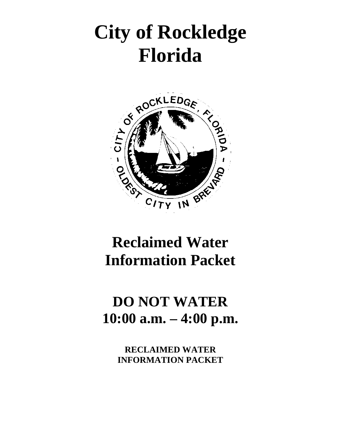# **City of Rockledge Florida**



# **Reclaimed Water Information Packet**

# **DO NOT WATER 10:00 a.m. – 4:00 p.m.**

**RECLAIMED WATER INFORMATION PACKET**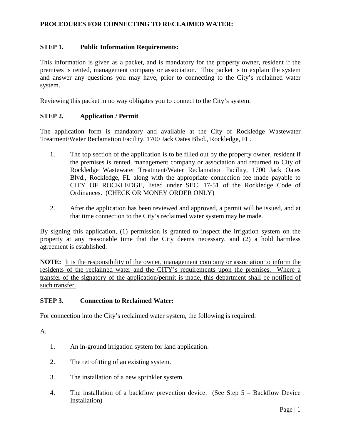# **PROCEDURES FOR CONNECTING TO RECLAIMED WATER:**

#### **STEP 1. Public Information Requirements:**

This information is given as a packet, and is mandatory for the property owner, resident if the premises is rented, management company or association. This packet is to explain the system and answer any questions you may have, prior to connecting to the City's reclaimed water system.

Reviewing this packet in no way obligates you to connect to the City's system.

#### **STEP 2. Application / Permit**

The application form is mandatory and available at the City of Rockledge Wastewater Treatment/Water Reclamation Facility, 1700 Jack Oates Blvd., Rockledge, FL.

- 1. The top section of the application is to be filled out by the property owner, resident if the premises is rented, management company or association and returned to City of Rockledge Wastewater Treatment/Water Reclamation Facility, 1700 Jack Oates Blvd., Rockledge, FL along with the appropriate connection fee made payable to CITY OF ROCKLEDGE, listed under SEC. 17-51 of the Rockledge Code of Ordinances. (CHECK OR MONEY ORDER ONLY)
- 2. After the application has been reviewed and approved, a permit will be issued, and at that time connection to the City's reclaimed water system may be made.

By signing this application, (1) permission is granted to inspect the irrigation system on the property at any reasonable time that the City deems necessary, and (2) a hold harmless agreement is established.

**NOTE:** It is the responsibility of the owner, management company or association to inform the residents of the reclaimed water and the CITY's requirements upon the premises. Where a transfer of the signatory of the application/permit is made, this department shall be notified of such transfer.

#### **STEP 3. Connection to Reclaimed Water:**

For connection into the City's reclaimed water system, the following is required:

A.

- 1. An in-ground irrigation system for land application.
- 2. The retrofitting of an existing system.
- 3. The installation of a new sprinkler system.
- 4. The installation of a backflow prevention device. (See Step 5 Backflow Device Installation)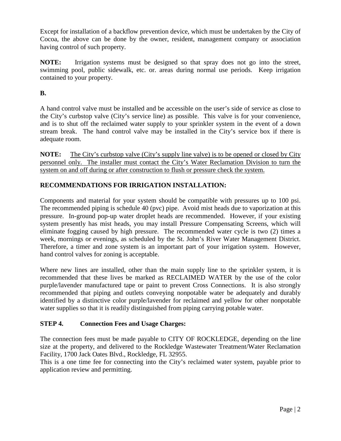Except for installation of a backflow prevention device, which must be undertaken by the City of Cocoa, the above can be done by the owner, resident, management company or association having control of such property.

**NOTE:** Irrigation systems must be designed so that spray does not go into the street, swimming pool, public sidewalk, etc. or. areas during normal use periods. Keep irrigation contained to your property.

# **B.**

A hand control valve must be installed and be accessible on the user's side of service as close to the City's curbstop valve (City's service line) as possible. This valve is for your convenience, and is to shut off the reclaimed water supply to your sprinkler system in the event of a down stream break. The hand control valve may be installed in the City's service box if there is adequate room.

**NOTE:** The City's curbstop valve (City's supply line valve) is to be opened or closed by City personnel only. The installer must contact the City's Water Reclamation Division to turn the system on and off during or after construction to flush or pressure check the system.

# **RECOMMENDATIONS FOR IRRIGATION INSTALLATION:**

Components and material for your system should be compatible with pressures up to 100 psi. The recommended piping is schedule 40 (pvc) pipe. Avoid mist heads due to vaporization at this pressure. In-ground pop-up water droplet heads are recommended. However, if your existing system presently has mist heads, you may install Pressure Compensating Screens, which will eliminate fogging caused by high pressure. The recommended water cycle is two (2) times a week, mornings or evenings, as scheduled by the St. John's River Water Management District. Therefore, a timer and zone system is an important part of your irrigation system. However, hand control valves for zoning is acceptable.

Where new lines are installed, other than the main supply line to the sprinkler system, it is recommended that these lives be marked as RECLAIMED WATER by the use of the color purple/lavender manufactured tape or paint to prevent Cross Connections. It is also strongly recommended that piping and outlets conveying nonpotable water be adequately and durably identified by a distinctive color purple/lavender for reclaimed and yellow for other nonpotable water supplies so that it is readily distinguished from piping carrying potable water.

# **STEP 4. Connection Fees and Usage Charges:**

The connection fees must be made payable to CITY OF ROCKLEDGE, depending on the line size at the property, and delivered to the Rockledge Wastewater Treatment/Water Reclamation Facility, 1700 Jack Oates Blvd., Rockledge, FL 32955.

This is a one time fee for connecting into the City's reclaimed water system, payable prior to application review and permitting.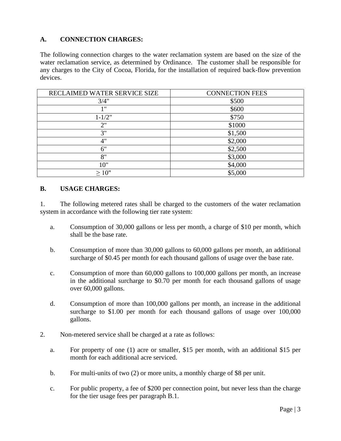# **A. CONNECTION CHARGES:**

The following connection charges to the water reclamation system are based on the size of the water reclamation service, as determined by Ordinance. The customer shall be responsible for any charges to the City of Cocoa, Florida, for the installation of required back-flow prevention devices.

| RECLAIMED WATER SERVICE SIZE | <b>CONNECTION FEES</b> |
|------------------------------|------------------------|
| 3/4"                         | \$500                  |
| 1 "                          | \$600                  |
| $1 - 1/2"$                   | \$750                  |
| 2"                           | \$1000                 |
| 3"                           | \$1,500                |
| 4"                           | \$2,000                |
| 6"                           | \$2,500                |
| 8"                           | \$3,000                |
| 10"                          | \$4,000                |
| >10"                         | \$5,000                |

#### **B. USAGE CHARGES:**

1. The following metered rates shall be charged to the customers of the water reclamation system in accordance with the following tier rate system:

- a. Consumption of 30,000 gallons or less per month, a charge of \$10 per month, which shall be the base rate.
- b. Consumption of more than 30,000 gallons to 60,000 gallons per month, an additional surcharge of \$0.45 per month for each thousand gallons of usage over the base rate.
- c. Consumption of more than 60,000 gallons to 100,000 gallons per month, an increase in the additional surcharge to \$0.70 per month for each thousand gallons of usage over 60,000 gallons.
- d. Consumption of more than 100,000 gallons per month, an increase in the additional surcharge to \$1.00 per month for each thousand gallons of usage over 100,000 gallons.
- 2. Non-metered service shall be charged at a rate as follows:
	- a. For property of one (1) acre or smaller, \$15 per month, with an additional \$15 per month for each additional acre serviced.
	- b. For multi-units of two (2) or more units, a monthly charge of \$8 per unit.
	- c. For public property, a fee of \$200 per connection point, but never less than the charge for the tier usage fees per paragraph B.1.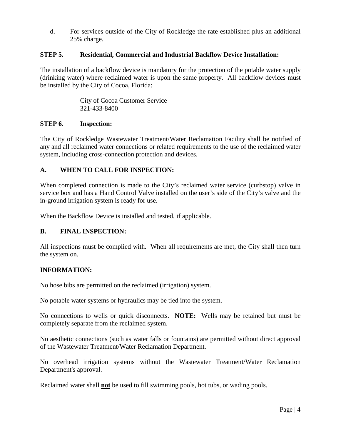d. For services outside of the City of Rockledge the rate established plus an additional 25% charge.

#### **STEP 5. Residential, Commercial and Industrial Backflow Device Installation:**

The installation of a backflow device is mandatory for the protection of the potable water supply (drinking water) where reclaimed water is upon the same property. All backflow devices must be installed by the City of Cocoa, Florida:

> City of Cocoa Customer Service 321-433-8400

#### **STEP 6. Inspection:**

The City of Rockledge Wastewater Treatment/Water Reclamation Facility shall be notified of any and all reclaimed water connections or related requirements to the use of the reclaimed water system, including cross-connection protection and devices.

# **A. WHEN TO CALL FOR INSPECTION:**

When completed connection is made to the City's reclaimed water service (curbstop) valve in service box and has a Hand Control Valve installed on the user's side of the City's valve and the in-ground irrigation system is ready for use.

When the Backflow Device is installed and tested, if applicable.

#### **B. FINAL INSPECTION:**

All inspections must be complied with. When all requirements are met, the City shall then turn the system on.

#### **INFORMATION:**

No hose bibs are permitted on the reclaimed (irrigation) system.

No potable water systems or hydraulics may be tied into the system.

No connections to wells or quick disconnects. **NOTE:** Wells may be retained but must be completely separate from the reclaimed system.

No aesthetic connections (such as water falls or fountains) are permitted without direct approval of the Wastewater Treatment/Water Reclamation Department.

No overhead irrigation systems without the Wastewater Treatment/Water Reclamation Department's approval.

Reclaimed water shall **not** be used to fill swimming pools, hot tubs, or wading pools.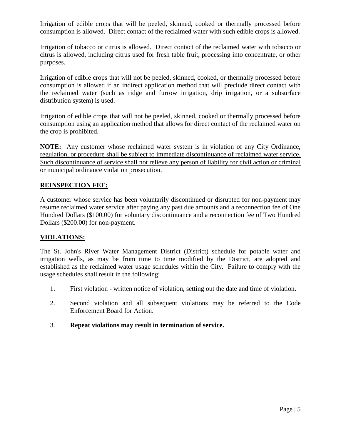Irrigation of edible crops that will be peeled, skinned, cooked or thermally processed before consumption is allowed. Direct contact of the reclaimed water with such edible crops is allowed.

Irrigation of tobacco or citrus is allowed. Direct contact of the reclaimed water with tobacco or citrus is allowed, including citrus used for fresh table fruit, processing into concentrate, or other purposes.

Irrigation of edible crops that will not be peeled, skinned, cooked, or thermally processed before consumption is allowed if an indirect application method that will preclude direct contact with the reclaimed water (such as ridge and furrow irrigation, drip irrigation, or a subsurface distribution system) is used.

Irrigation of edible crops that will not be peeled, skinned, cooked or thermally processed before consumption using an application method that allows for direct contact of the reclaimed water on the crop is prohibited.

**NOTE:** Any customer whose reclaimed water system is in violation of any City Ordinance, regulation, or procedure shall be subject to immediate discontinuance of reclaimed water service. Such discontinuance of service shall not relieve any person of liability for civil action or criminal or municipal ordinance violation prosecution.

# **REINSPECTION FEE:**

A customer whose service has been voluntarily discontinued or disrupted for non-payment may resume reclaimed water service after paying any past due amounts and a reconnection fee of One Hundred Dollars (\$100.00) for voluntary discontinuance and a reconnection fee of Two Hundred Dollars (\$200.00) for non-payment.

# **VIOLATIONS:**

The St. John's River Water Management District (District) schedule for potable water and irrigation wells, as may be from time to time modified by the District, are adopted and established as the reclaimed water usage schedules within the City. Failure to comply with the usage schedules shall result in the following:

- 1. First violation written notice of violation, setting out the date and time of violation.
- 2. Second violation and all subsequent violations may be referred to the Code Enforcement Board for Action.
- 3. **Repeat violations may result in termination of service.**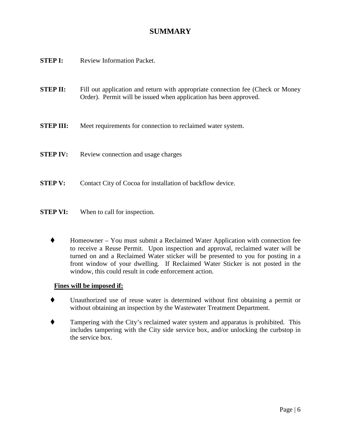# **SUMMARY**

- **STEP I:** Review Information Packet.
- **STEP II:** Fill out application and return with appropriate connection fee (Check or Money Order). Permit will be issued when application has been approved.
- **STEP III:** Meet requirements for connection to reclaimed water system.
- **STEP IV:** Review connection and usage charges
- **STEP V:** Contact City of Cocoa for installation of backflow device.
- **STEP VI:** When to call for inspection.
	- Homeowner You must submit a Reclaimed Water Application with connection fee to receive a Reuse Permit. Upon inspection and approval, reclaimed water will be turned on and a Reclaimed Water sticker will be presented to you for posting in a front window of your dwelling. If Reclaimed Water Sticker is not posted in the window, this could result in code enforcement action.

#### **Fines will be imposed if:**

- Unauthorized use of reuse water is determined without first obtaining a permit or without obtaining an inspection by the Wastewater Treatment Department.
- Tampering with the City's reclaimed water system and apparatus is prohibited. This includes tampering with the City side service box, and/or unlocking the curbstop in the service box.